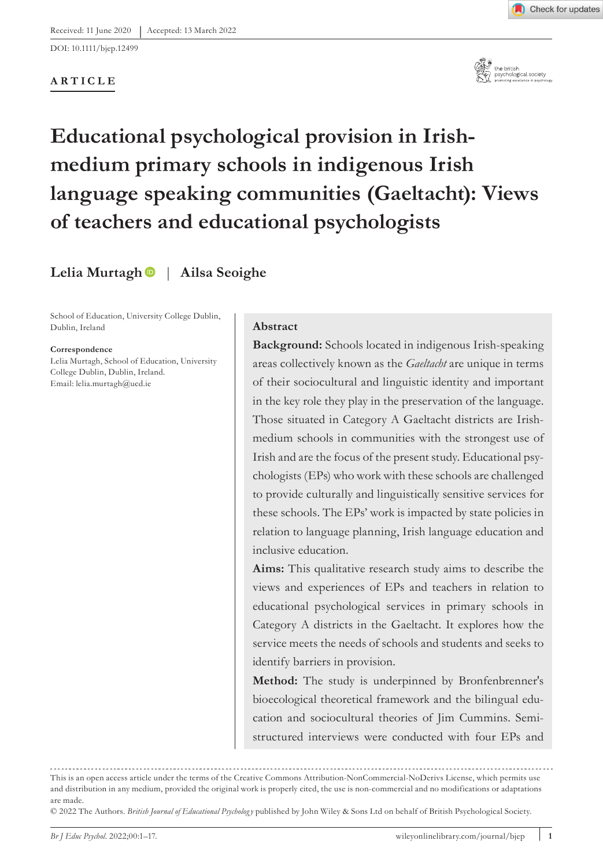DOI: 10.1111/bjep.12499

## **ARTICLE**



# **Educational psychological provision in Irishmedium primary schools in indigenous Irish language speaking communities (Gaeltacht): Views of teachers and educational psychologists**

**Lelia Murtag[h](https://orcid.org/0000-0003-1149-1207)** | **Ailsa Seoighe**

School of Education, University College Dublin, Dublin, Ireland

#### **Correspondence**

Lelia Murtagh, School of Education, University College Dublin, Dublin, Ireland. Email: [lelia.murtagh@ucd.ie](mailto:lelia.murtagh@ucd.ie)

#### **Abstract**

**Background:** Schools located in indigenous Irish-speaking areas collectively known as the *Gaeltacht* are unique in terms of their sociocultural and linguistic identity and important in the key role they play in the preservation of the language. Those situated in Category A Gaeltacht districts are Irishmedium schools in communities with the strongest use of Irish and are the focus of the present study. Educational psychologists (EPs) who work with these schools are challenged to provide culturally and linguistically sensitive services for these schools. The EPs' work is impacted by state policies in relation to language planning, Irish language education and inclusive education.

**Aims:** This qualitative research study aims to describe the views and experiences of EPs and teachers in relation to educational psychological services in primary schools in Category A districts in the Gaeltacht. It explores how the service meets the needs of schools and students and seeks to identify barriers in provision.

**Method:** The study is underpinned by Bronfenbrenner's bioecological theoretical framework and the bilingual education and sociocultural theories of Jim Cummins. Semistructured interviews were conducted with four EPs and

This is an open access article under the terms of the [Creative Commons Attribution-NonCommercial-NoDerivs](http://creativecommons.org/licenses/by-nc-nd/4.0/) License, which permits use and distribution in any medium, provided the original work is properly cited, the use is non-commercial and no modifications or adaptations are made.

<sup>© 2022</sup> The Authors. *British Journal of Educational Psycholog y* published by John Wiley & Sons Ltd on behalf of British Psychological Society.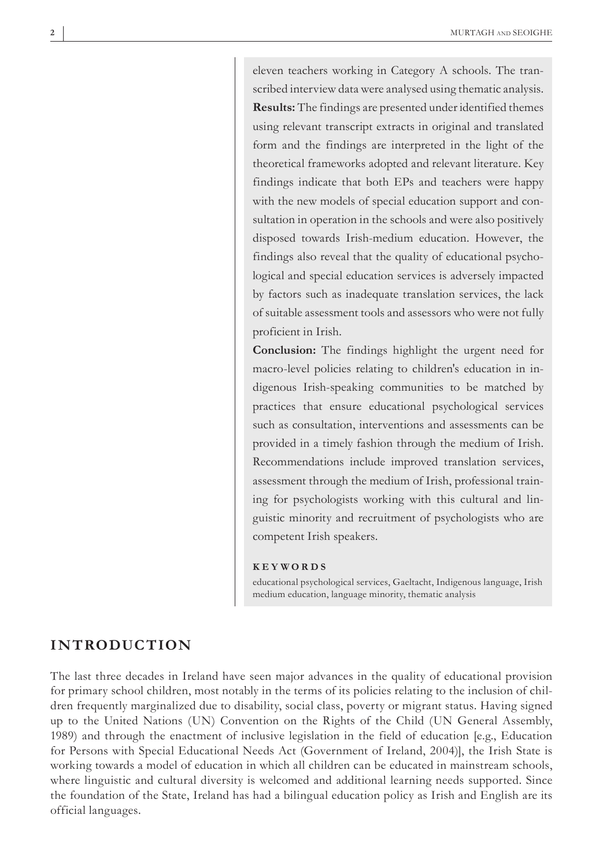eleven teachers working in Category A schools. The transcribed interview data were analysed using thematic analysis. **Results:** The findings are presented under identified themes using relevant transcript extracts in original and translated form and the findings are interpreted in the light of the theoretical frameworks adopted and relevant literature. Key findings indicate that both EPs and teachers were happy with the new models of special education support and consultation in operation in the schools and were also positively disposed towards Irish-medium education. However, the findings also reveal that the quality of educational psychological and special education services is adversely impacted by factors such as inadequate translation services, the lack of suitable assessment tools and assessors who were not fully proficient in Irish.

**Conclusion:** The findings highlight the urgent need for macro-level policies relating to children's education in indigenous Irish-speaking communities to be matched by practices that ensure educational psychological services such as consultation, interventions and assessments can be provided in a timely fashion through the medium of Irish. Recommendations include improved translation services, assessment through the medium of Irish, professional training for psychologists working with this cultural and linguistic minority and recruitment of psychologists who are competent Irish speakers.

#### **KEYWORDS**

educational psychological services, Gaeltacht, Indigenous language, Irish medium education, language minority, thematic analysis

## **INTRODUCTION**

The last three decades in Ireland have seen major advances in the quality of educational provision for primary school children, most notably in the terms of its policies relating to the inclusion of children frequently marginalized due to disability, social class, poverty or migrant status. Having signed up to the United Nations (UN) Convention on the Rights of the Child (UN General Assembly, 1989) and through the enactment of inclusive legislation in the field of education [e.g., Education for Persons with Special Educational Needs Act (Government of Ireland, 2004)], the Irish State is working towards a model of education in which all children can be educated in mainstream schools, where linguistic and cultural diversity is welcomed and additional learning needs supported. Since the foundation of the State, Ireland has had a bilingual education policy as Irish and English are its official languages.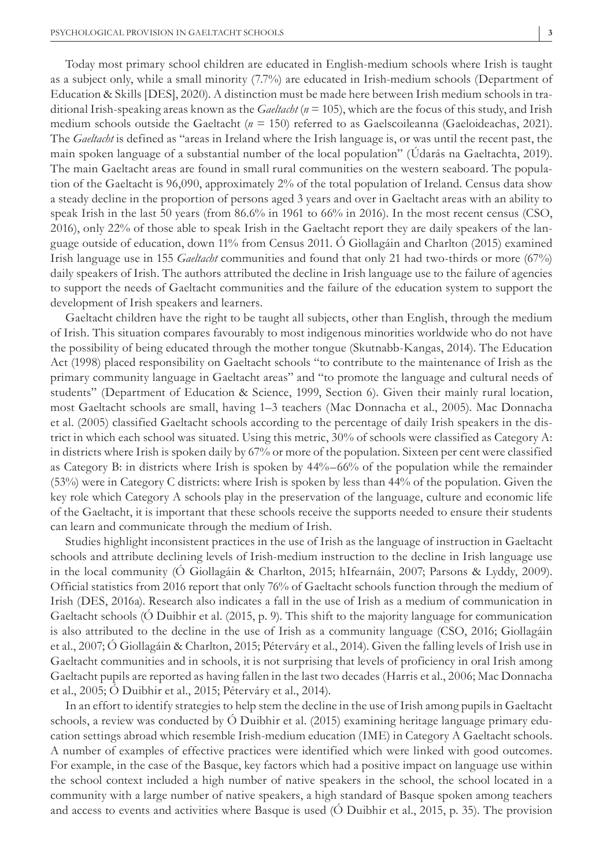Today most primary school children are educated in English-medium schools where Irish is taught as a subject only, while a small minority (7.7%) are educated in Irish-medium schools (Department of Education & Skills [DES], 2020). A distinction must be made here between Irish medium schools in traditional Irish-speaking areas known as the *Gaeltacht* ( $n = 105$ ), which are the focus of this study, and Irish medium schools outside the Gaeltacht (*n* = 150) referred to as Gaelscoileanna (Gaeloideachas, 2021). The *Gaeltacht* is defined as "areas in Ireland where the Irish language is, or was until the recent past, the main spoken language of a substantial number of the local population" (Údarás na Gaeltachta, 2019). The main Gaeltacht areas are found in small rural communities on the western seaboard. The population of the Gaeltacht is 96,090, approximately 2% of the total population of Ireland. Census data show a steady decline in the proportion of persons aged 3 years and over in Gaeltacht areas with an ability to speak Irish in the last 50 years (from 86.6% in 1961 to 66% in 2016). In the most recent census (CSO, 2016), only 22% of those able to speak Irish in the Gaeltacht report they are daily speakers of the language outside of education, down 11% from Census 2011. Ó Giollagáin and Charlton (2015) examined Irish language use in 155 *Gaeltacht* communities and found that only 21 had two-thirds or more (67%) daily speakers of Irish. The authors attributed the decline in Irish language use to the failure of agencies to support the needs of Gaeltacht communities and the failure of the education system to support the development of Irish speakers and learners.

Gaeltacht children have the right to be taught all subjects, other than English, through the medium of Irish. This situation compares favourably to most indigenous minorities worldwide who do not have the possibility of being educated through the mother tongue (Skutnabb-Kangas, 2014). The Education Act (1998) placed responsibility on Gaeltacht schools "to contribute to the maintenance of Irish as the primary community language in Gaeltacht areas" and "to promote the language and cultural needs of students" (Department of Education & Science, 1999, Section 6). Given their mainly rural location, most Gaeltacht schools are small, having 1–3 teachers (Mac Donnacha et al., 2005). Mac Donnacha et al. (2005) classified Gaeltacht schools according to the percentage of daily Irish speakers in the district in which each school was situated. Using this metric, 30% of schools were classified as Category A: in districts where Irish is spoken daily by 67% or more of the population. Sixteen per cent were classified as Category B: in districts where Irish is spoken by 44%–66% of the population while the remainder (53%) were in Category C districts: where Irish is spoken by less than 44% of the population. Given the key role which Category A schools play in the preservation of the language, culture and economic life of the Gaeltacht, it is important that these schools receive the supports needed to ensure their students can learn and communicate through the medium of Irish.

Studies highlight inconsistent practices in the use of Irish as the language of instruction in Gaeltacht schools and attribute declining levels of Irish-medium instruction to the decline in Irish language use in the local community (Ó Giollagáin & Charlton, 2015; hIfearnáin, 2007; Parsons & Lyddy, 2009). Official statistics from 2016 report that only 76% of Gaeltacht schools function through the medium of Irish (DES, 2016a). Research also indicates a fall in the use of Irish as a medium of communication in Gaeltacht schools (Ó Duibhir et al. (2015, p. 9). This shift to the majority language for communication is also attributed to the decline in the use of Irish as a community language (CSO, 2016; Giollagáin et al., 2007; Ó Giollagáin & Charlton, 2015; Péterváry et al., 2014). Given the falling levels of Irish use in Gaeltacht communities and in schools, it is not surprising that levels of proficiency in oral Irish among Gaeltacht pupils are reported as having fallen in the last two decades (Harris et al., 2006; Mac Donnacha et al., 2005; Ó Duibhir et al., 2015; Péterváry et al., 2014).

In an effort to identify strategies to help stem the decline in the use of Irish among pupils in Gaeltacht schools, a review was conducted by Ó Duibhir et al. (2015) examining heritage language primary education settings abroad which resemble Irish-medium education (IME) in Category A Gaeltacht schools. A number of examples of effective practices were identified which were linked with good outcomes. For example, in the case of the Basque, key factors which had a positive impact on language use within the school context included a high number of native speakers in the school, the school located in a community with a large number of native speakers, a high standard of Basque spoken among teachers and access to events and activities where Basque is used (Ó Duibhir et al., 2015, p. 35). The provision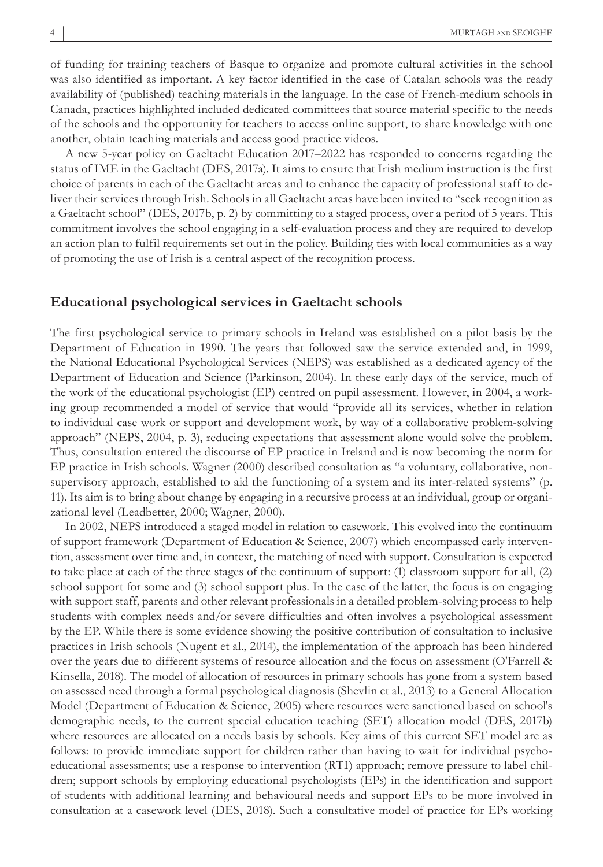of funding for training teachers of Basque to organize and promote cultural activities in the school was also identified as important. A key factor identified in the case of Catalan schools was the ready availability of (published) teaching materials in the language. In the case of French-medium schools in Canada, practices highlighted included dedicated committees that source material specific to the needs of the schools and the opportunity for teachers to access online support, to share knowledge with one another, obtain teaching materials and access good practice videos.

A new 5-year policy on Gaeltacht Education 2017–2022 has responded to concerns regarding the status of IME in the Gaeltacht (DES, 2017a). It aims to ensure that Irish medium instruction is the first choice of parents in each of the Gaeltacht areas and to enhance the capacity of professional staff to deliver their services through Irish. Schools in all Gaeltacht areas have been invited to "seek recognition as a Gaeltacht school" (DES, 2017b, p. 2) by committing to a staged process, over a period of 5 years. This commitment involves the school engaging in a self-evaluation process and they are required to develop an action plan to fulfil requirements set out in the policy. Building ties with local communities as a way of promoting the use of Irish is a central aspect of the recognition process.

## **Educational psychological services in Gaeltacht schools**

The first psychological service to primary schools in Ireland was established on a pilot basis by the Department of Education in 1990. The years that followed saw the service extended and, in 1999, the National Educational Psychological Services (NEPS) was established as a dedicated agency of the Department of Education and Science (Parkinson, 2004). In these early days of the service, much of the work of the educational psychologist (EP) centred on pupil assessment. However, in 2004, a working group recommended a model of service that would "provide all its services, whether in relation to individual case work or support and development work, by way of a collaborative problem-solving approach" (NEPS, 2004, p. 3), reducing expectations that assessment alone would solve the problem. Thus, consultation entered the discourse of EP practice in Ireland and is now becoming the norm for EP practice in Irish schools. Wagner (2000) described consultation as "a voluntary, collaborative, nonsupervisory approach, established to aid the functioning of a system and its inter-related systems" (p. 11). Its aim is to bring about change by engaging in a recursive process at an individual, group or organizational level (Leadbetter, 2000; Wagner, 2000).

In 2002, NEPS introduced a staged model in relation to casework. This evolved into the continuum of support framework (Department of Education & Science, 2007) which encompassed early intervention, assessment over time and, in context, the matching of need with support. Consultation is expected to take place at each of the three stages of the continuum of support: (1) classroom support for all, (2) school support for some and (3) school support plus. In the case of the latter, the focus is on engaging with support staff, parents and other relevant professionals in a detailed problem-solving process to help students with complex needs and/or severe difficulties and often involves a psychological assessment by the EP. While there is some evidence showing the positive contribution of consultation to inclusive practices in Irish schools (Nugent et al., 2014), the implementation of the approach has been hindered over the years due to different systems of resource allocation and the focus on assessment (O'Farrell & Kinsella, 2018). The model of allocation of resources in primary schools has gone from a system based on assessed need through a formal psychological diagnosis (Shevlin et al., 2013) to a General Allocation Model (Department of Education & Science, 2005) where resources were sanctioned based on school's demographic needs, to the current special education teaching (SET) allocation model (DES, 2017b) where resources are allocated on a needs basis by schools. Key aims of this current SET model are as follows: to provide immediate support for children rather than having to wait for individual psychoeducational assessments; use a response to intervention (RTI) approach; remove pressure to label children; support schools by employing educational psychologists (EPs) in the identification and support of students with additional learning and behavioural needs and support EPs to be more involved in consultation at a casework level (DES, 2018). Such a consultative model of practice for EPs working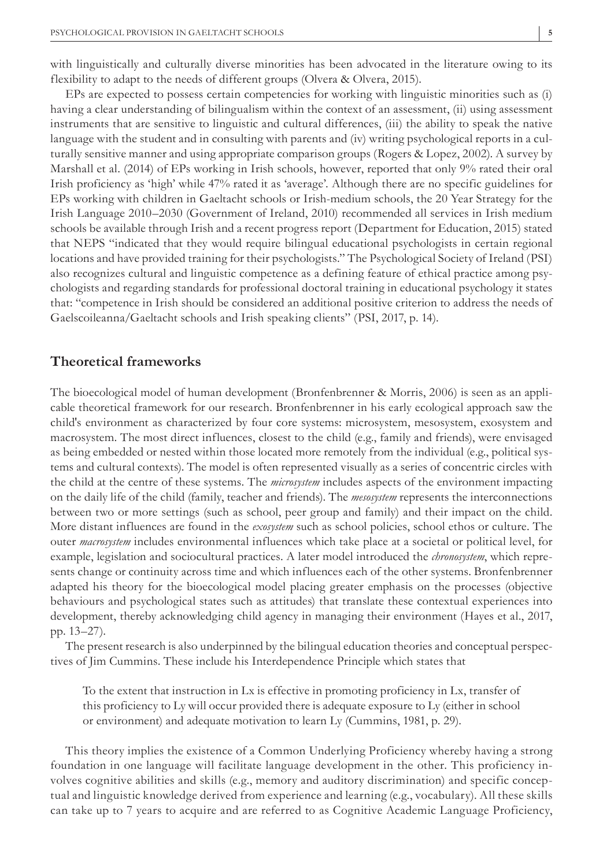with linguistically and culturally diverse minorities has been advocated in the literature owing to its flexibility to adapt to the needs of different groups (Olvera & Olvera, 2015).

EPs are expected to possess certain competencies for working with linguistic minorities such as (i) having a clear understanding of bilingualism within the context of an assessment, (ii) using assessment instruments that are sensitive to linguistic and cultural differences, (iii) the ability to speak the native language with the student and in consulting with parents and (iv) writing psychological reports in a culturally sensitive manner and using appropriate comparison groups (Rogers & Lopez, 2002). A survey by Marshall et al. (2014) of EPs working in Irish schools, however, reported that only 9% rated their oral Irish proficiency as 'high' while 47% rated it as 'average'. Although there are no specific guidelines for EPs working with children in Gaeltacht schools or Irish-medium schools, the 20 Year Strategy for the Irish Language 2010–2030 (Government of Ireland, 2010) recommended all services in Irish medium schools be available through Irish and a recent progress report (Department for Education, 2015) stated that NEPS "indicated that they would require bilingual educational psychologists in certain regional locations and have provided training for their psychologists." The Psychological Society of Ireland (PSI) also recognizes cultural and linguistic competence as a defining feature of ethical practice among psychologists and regarding standards for professional doctoral training in educational psychology it states that: "competence in Irish should be considered an additional positive criterion to address the needs of Gaelscoileanna/Gaeltacht schools and Irish speaking clients" (PSI, 2017, p. 14).

## **Theoretical frameworks**

The bioecological model of human development (Bronfenbrenner & Morris, 2006) is seen as an applicable theoretical framework for our research. Bronfenbrenner in his early ecological approach saw the child's environment as characterized by four core systems: microsystem, mesosystem, exosystem and macrosystem. The most direct influences, closest to the child (e.g., family and friends), were envisaged as being embedded or nested within those located more remotely from the individual (e.g., political systems and cultural contexts). The model is often represented visually as a series of concentric circles with the child at the centre of these systems. The *microsystem* includes aspects of the environment impacting on the daily life of the child (family, teacher and friends). The *mesosystem* represents the interconnections between two or more settings (such as school, peer group and family) and their impact on the child. More distant influences are found in the *exosystem* such as school policies, school ethos or culture. The outer *macrosystem* includes environmental influences which take place at a societal or political level, for example, legislation and sociocultural practices. A later model introduced the *chronosystem*, which represents change or continuity across time and which influences each of the other systems. Bronfenbrenner adapted his theory for the bioecological model placing greater emphasis on the processes (objective behaviours and psychological states such as attitudes) that translate these contextual experiences into development, thereby acknowledging child agency in managing their environment (Hayes et al., 2017, pp. 13–27).

The present research is also underpinned by the bilingual education theories and conceptual perspectives of Jim Cummins. These include his Interdependence Principle which states that

To the extent that instruction in Lx is effective in promoting proficiency in Lx, transfer of this proficiency to Ly will occur provided there is adequate exposure to Ly (either in school or environment) and adequate motivation to learn Ly (Cummins, 1981, p. 29).

This theory implies the existence of a Common Underlying Proficiency whereby having a strong foundation in one language will facilitate language development in the other. This proficiency involves cognitive abilities and skills (e.g., memory and auditory discrimination) and specific conceptual and linguistic knowledge derived from experience and learning (e.g., vocabulary). All these skills can take up to 7 years to acquire and are referred to as Cognitive Academic Language Proficiency,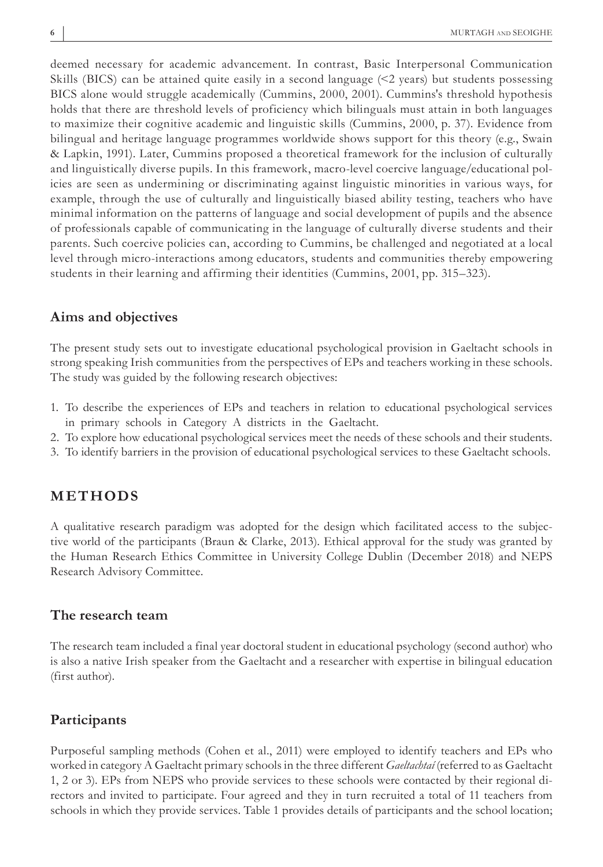deemed necessary for academic advancement. In contrast, Basic Interpersonal Communication Skills (BICS) can be attained quite easily in a second language (<2 years) but students possessing BICS alone would struggle academically (Cummins, 2000, 2001). Cummins's threshold hypothesis holds that there are threshold levels of proficiency which bilinguals must attain in both languages to maximize their cognitive academic and linguistic skills (Cummins, 2000, p. 37). Evidence from bilingual and heritage language programmes worldwide shows support for this theory (e.g., Swain & Lapkin, 1991). Later, Cummins proposed a theoretical framework for the inclusion of culturally and linguistically diverse pupils. In this framework, macro-level coercive language/educational policies are seen as undermining or discriminating against linguistic minorities in various ways, for example, through the use of culturally and linguistically biased ability testing, teachers who have minimal information on the patterns of language and social development of pupils and the absence of professionals capable of communicating in the language of culturally diverse students and their parents. Such coercive policies can, according to Cummins, be challenged and negotiated at a local level through micro-interactions among educators, students and communities thereby empowering students in their learning and affirming their identities (Cummins, 2001, pp. 315–323).

## **Aims and objectives**

The present study sets out to investigate educational psychological provision in Gaeltacht schools in strong speaking Irish communities from the perspectives of EPs and teachers working in these schools. The study was guided by the following research objectives:

- 1. To describe the experiences of EPs and teachers in relation to educational psychological services in primary schools in Category A districts in the Gaeltacht.
- 2. To explore how educational psychological services meet the needs of these schools and their students.
- 3. To identify barriers in the provision of educational psychological services to these Gaeltacht schools.

## **METHODS**

A qualitative research paradigm was adopted for the design which facilitated access to the subjective world of the participants (Braun & Clarke, 2013). Ethical approval for the study was granted by the Human Research Ethics Committee in University College Dublin (December 2018) and NEPS Research Advisory Committee.

### **The research team**

The research team included a final year doctoral student in educational psychology (second author) who is also a native Irish speaker from the Gaeltacht and a researcher with expertise in bilingual education (first author).

## **Participants**

Purposeful sampling methods (Cohen et al., 2011) were employed to identify teachers and EPs who worked in category A Gaeltacht primary schools in the three different *Gaeltachtaí* (referred to as Gaeltacht 1, 2 or 3). EPs from NEPS who provide services to these schools were contacted by their regional directors and invited to participate. Four agreed and they in turn recruited a total of 11 teachers from schools in which they provide services. Table 1 provides details of participants and the school location;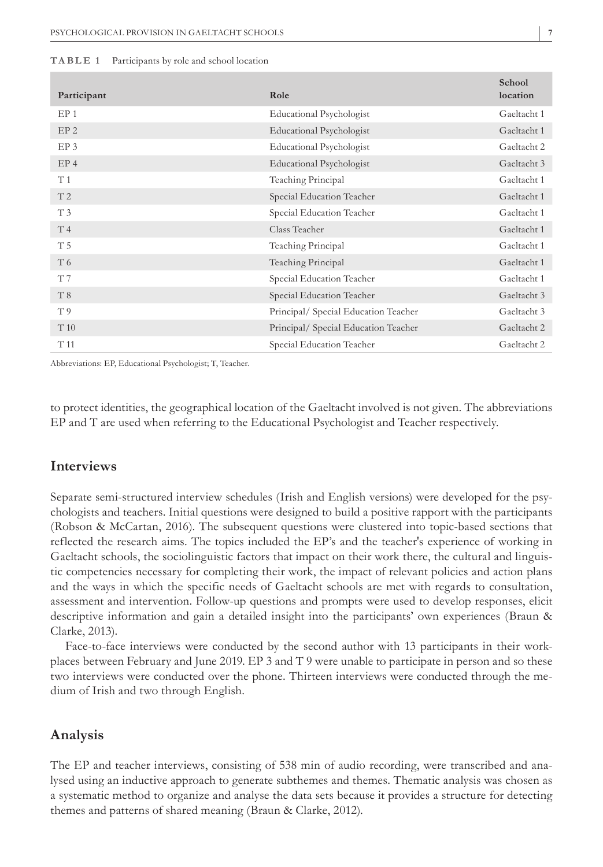#### **TABLE 1** Participants by role and school location

| Participant     | Role                                 | School<br>location |
|-----------------|--------------------------------------|--------------------|
| EP <sub>1</sub> | <b>Educational Psychologist</b>      | Gaeltacht 1        |
| EP <sub>2</sub> | <b>Educational Psychologist</b>      | Gaeltacht 1        |
| EP <sub>3</sub> | Educational Psychologist             | Gaeltacht 2        |
| EP <sub>4</sub> | <b>Educational Psychologist</b>      | Gaeltacht 3        |
| T1              | Teaching Principal                   | Gaeltacht 1        |
| T <sub>2</sub>  | Special Education Teacher            | Gaeltacht 1        |
| T <sub>3</sub>  | Special Education Teacher            | Gaeltacht 1        |
| T <sub>4</sub>  | Class Teacher                        | Gaeltacht 1        |
| T 5             | Teaching Principal                   | Gaeltacht 1        |
| T 6             | Teaching Principal                   | Gaeltacht 1        |
| T 7             | Special Education Teacher            | Gaeltacht 1        |
| T 8             | Special Education Teacher            | Gaeltacht 3        |
| T <sub>9</sub>  | Principal/ Special Education Teacher | Gaeltacht 3        |
| T 10            | Principal/ Special Education Teacher | Gaeltacht 2        |
| T 11            | Special Education Teacher            | Gaeltacht 2        |

Abbreviations: EP, Educational Psychologist; T, Teacher.

to protect identities, the geographical location of the Gaeltacht involved is not given. The abbreviations EP and T are used when referring to the Educational Psychologist and Teacher respectively.

## **Interviews**

Separate semi-structured interview schedules (Irish and English versions) were developed for the psychologists and teachers. Initial questions were designed to build a positive rapport with the participants (Robson & McCartan, 2016). The subsequent questions were clustered into topic-based sections that reflected the research aims. The topics included the EP's and the teacher's experience of working in Gaeltacht schools, the sociolinguistic factors that impact on their work there, the cultural and linguistic competencies necessary for completing their work, the impact of relevant policies and action plans and the ways in which the specific needs of Gaeltacht schools are met with regards to consultation, assessment and intervention. Follow-up questions and prompts were used to develop responses, elicit descriptive information and gain a detailed insight into the participants' own experiences (Braun & Clarke, 2013).

Face-to-face interviews were conducted by the second author with 13 participants in their workplaces between February and June 2019. EP 3 and T 9 were unable to participate in person and so these two interviews were conducted over the phone. Thirteen interviews were conducted through the medium of Irish and two through English.

## **Analysis**

The EP and teacher interviews, consisting of 538 min of audio recording, were transcribed and analysed using an inductive approach to generate subthemes and themes. Thematic analysis was chosen as a systematic method to organize and analyse the data sets because it provides a structure for detecting themes and patterns of shared meaning (Braun & Clarke, 2012).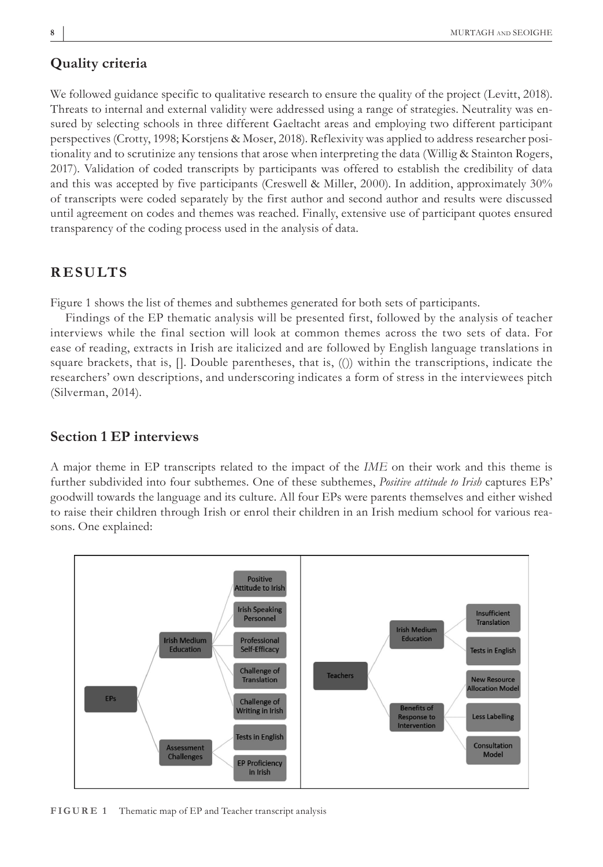We followed guidance specific to qualitative research to ensure the quality of the project (Levitt, 2018). Threats to internal and external validity were addressed using a range of strategies. Neutrality was ensured by selecting schools in three different Gaeltacht areas and employing two different participant perspectives (Crotty, 1998; Korstjens & Moser, 2018). Reflexivity was applied to address researcher positionality and to scrutinize any tensions that arose when interpreting the data (Willig & Stainton Rogers, 2017). Validation of coded transcripts by participants was offered to establish the credibility of data and this was accepted by five participants (Creswell & Miller, 2000). In addition, approximately 30% of transcripts were coded separately by the first author and second author and results were discussed until agreement on codes and themes was reached. Finally, extensive use of participant quotes ensured transparency of the coding process used in the analysis of data.

## **RESULTS**

Figure 1 shows the list of themes and subthemes generated for both sets of participants.

Findings of the EP thematic analysis will be presented first, followed by the analysis of teacher interviews while the final section will look at common themes across the two sets of data. For ease of reading, extracts in Irish are italicized and are followed by English language translations in square brackets, that is, []. Double parentheses, that is, (()) within the transcriptions, indicate the researchers' own descriptions, and underscoring indicates a form of stress in the interviewees pitch (Silverman, 2014).

## **Section 1 EP interviews**

A major theme in EP transcripts related to the impact of the *IME* on their work and this theme is further subdivided into four subthemes. One of these subthemes, *Positive attitude to Irish* captures EPs' goodwill towards the language and its culture. All four EPs were parents themselves and either wished to raise their children through Irish or enrol their children in an Irish medium school for various reasons. One explained:



**FIGURE 1** Thematic map of EP and Teacher transcript analysis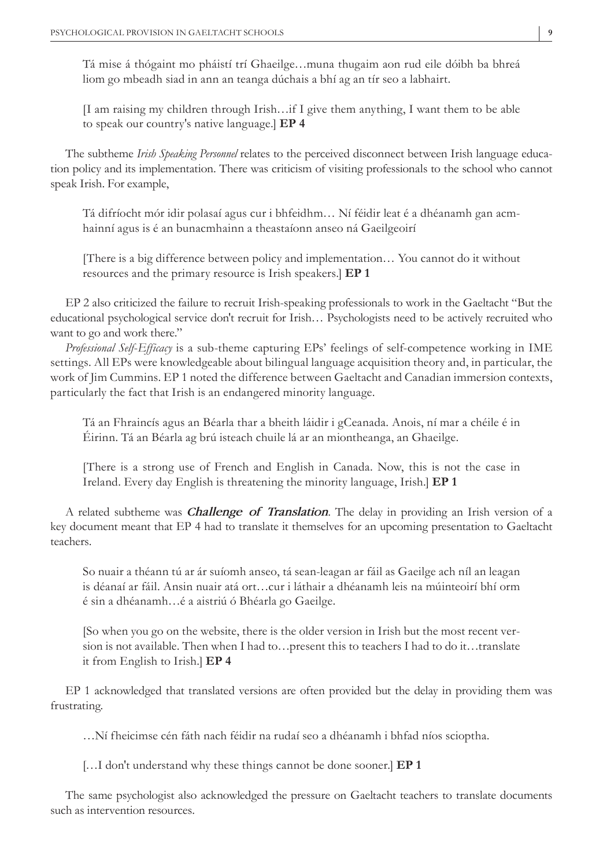Tá mise á thógaint mo pháistí trí Ghaeilge…muna thugaim aon rud eile dóibh ba bhreá liom go mbeadh siad in ann an teanga dúchais a bhí ag an tír seo a labhairt.

[I am raising my children through Irish…if I give them anything, I want them to be able to speak our country's native language.] **EP 4**

The subtheme *Irish Speaking Personnel* relates to the perceived disconnect between Irish language education policy and its implementation. There was criticism of visiting professionals to the school who cannot speak Irish. For example,

Tá difríocht mór idir polasaí agus cur i bhfeidhm… Ní féidir leat é a dhéanamh gan acmhainní agus is é an bunacmhainn a theastaíonn anseo ná Gaeilgeoirí

[There is a big difference between policy and implementation… You cannot do it without resources and the primary resource is Irish speakers.] **EP 1**

EP 2 also criticized the failure to recruit Irish-speaking professionals to work in the Gaeltacht "But the educational psychological service don't recruit for Irish… Psychologists need to be actively recruited who want to go and work there."

*Professional Self*-*Efficacy* is a sub-theme capturing EPs' feelings of self-competence working in IME settings. All EPs were knowledgeable about bilingual language acquisition theory and, in particular, the work of Jim Cummins. EP 1 noted the difference between Gaeltacht and Canadian immersion contexts, particularly the fact that Irish is an endangered minority language.

Tá an Fhraincís agus an Béarla thar a bheith láidir i gCeanada. Anois, ní mar a chéile é in Éirinn. Tá an Béarla ag brú isteach chuile lá ar an miontheanga, an Ghaeilge.

[There is a strong use of French and English in Canada. Now, this is not the case in Ireland. Every day English is threatening the minority language, Irish.] **EP 1**

A related subtheme was *Challenge of Translation*. The delay in providing an Irish version of a key document meant that EP 4 had to translate it themselves for an upcoming presentation to Gaeltacht teachers.

So nuair a théann tú ar ár suíomh anseo, tá sean-leagan ar fáil as Gaeilge ach níl an leagan is déanaí ar fáil. Ansin nuair atá ort…cur i láthair a dhéanamh leis na múinteoirí bhí orm é sin a dhéanamh…é a aistriú ó Bhéarla go Gaeilge.

[So when you go on the website, there is the older version in Irish but the most recent version is not available. Then when I had to…present this to teachers I had to do it…translate it from English to Irish.] **EP 4**

EP 1 acknowledged that translated versions are often provided but the delay in providing them was frustrating.

…Ní fheicimse cén fáth nach féidir na rudaí seo a dhéanamh i bhfad níos scioptha.

[…I don't understand why these things cannot be done sooner.] **EP 1**

The same psychologist also acknowledged the pressure on Gaeltacht teachers to translate documents such as intervention resources.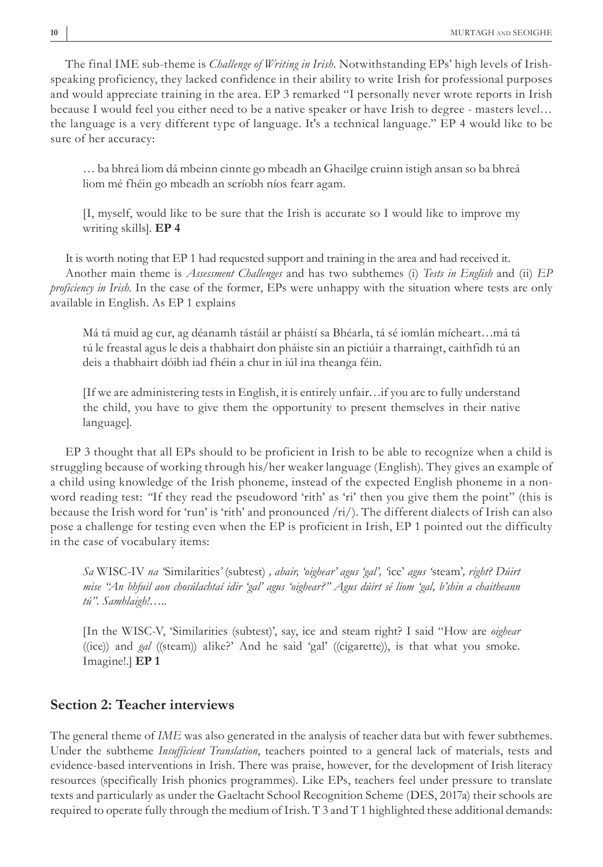The final IME sub-theme is *Challenge of Writing in Irish*. Notwithstanding EPs' high levels of Irishspeaking proficiency, they lacked confidence in their ability to write Irish for professional purposes and would appreciate training in the area. EP 3 remarked "I personally never wrote reports in Irish because I would feel you either need to be a native speaker or have Irish to degree - masters level… the language is a very different type of language. It's a technical language." EP 4 would like to be sure of her accuracy:

… ba bhreá liom dá mbeinn cinnte go mbeadh an Ghaeilge cruinn istigh ansan so ba bhreá liom mé fhéin go mbeadh an scríobh níos fearr agam.

[I, myself, would like to be sure that the Irish is accurate so I would like to improve my writing skills]. **EP 4**

It is worth noting that EP 1 had requested support and training in the area and had received it. Another main theme is *Assessment Challenges* and has two subthemes (i) *Tests in English* and (ii) *EP proficiency in Irish*. In the case of the former, EPs were unhappy with the situation where tests are only available in English. As EP 1 explains

Má tá muid ag cur, ag déanamh tástáil ar pháistí sa Bhéarla, tá sé iomlán mícheart…má tá tú le freastal agus le deis a thabhairt don pháiste sin an pictiúir a tharraingt, caithfidh tú an deis a thabhairt dóibh iad fhéin a chur in iúl ina theanga féin.

[If we are administering tests in English, it is entirely unfair…if you are to fully understand the child, you have to give them the opportunity to present themselves in their native language].

EP 3 thought that all EPs should to be proficient in Irish to be able to recognize when a child is struggling because of working through his/her weaker language (English). They gives an example of a child using knowledge of the Irish phoneme, instead of the expected English phoneme in a nonword reading test: "If they read the pseudoword 'rith' as 'ri' then you give them the point" (this is because the Irish word for 'run' is 'rith' and pronounced /ri/). The different dialects of Irish can also pose a challenge for testing even when the EP is proficient in Irish, EP 1 pointed out the difficulty in the case of vocabulary items:

*Sa* WISC-IV *na '*Similarities*'* (subtest) *, abair, 'oighear' agus 'gal', '*ice' *agus '*steam'*, right? Dúirt mise "An bhfuil aon chosúlachtaí idir 'gal' agus 'oighear?" Agus dúirt sé liom 'gal, b'shin a chaitheann tú". Samhlaigh!…*..

[In the WISC-V, 'Similarities (subtest)', say, ice and steam right? I said "How are *oighear* ((ice)) and *gal* ((steam)) alike?' And he said 'gal' ((cigarette)), is that what you smoke. Imagine!.] **EP 1**

## **Section 2: Teacher interviews**

The general theme of *IME* was also generated in the analysis of teacher data but with fewer subthemes. Under the subtheme *Insufficient Translation*, teachers pointed to a general lack of materials, tests and evidence-based interventions in Irish. There was praise, however, for the development of Irish literacy resources (specifically Irish phonics programmes). Like EPs, teachers feel under pressure to translate texts and particularly as under the Gaeltacht School Recognition Scheme (DES, 2017a) their schools are required to operate fully through the medium of Irish. T 3 and T 1 highlighted these additional demands: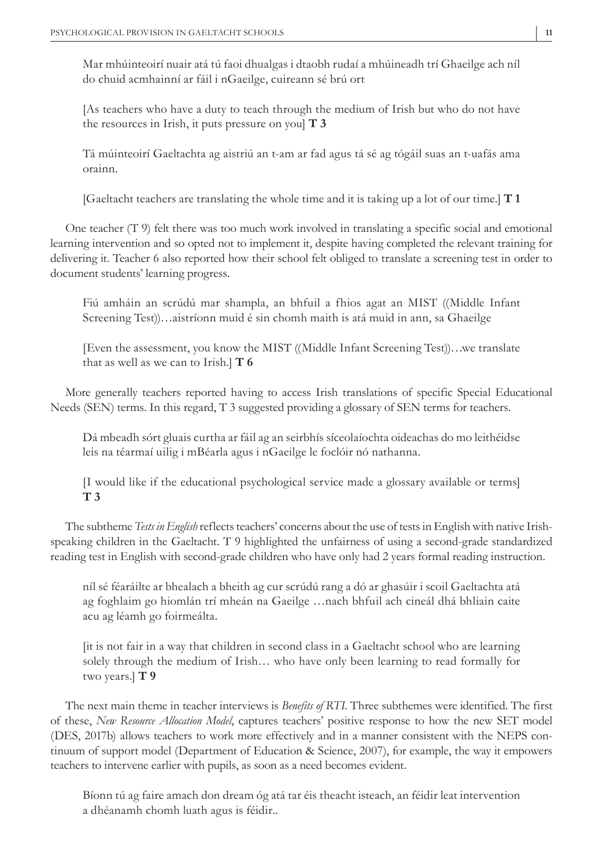Mar mhúinteoirí nuair atá tú faoi dhualgas i dtaobh rudaí a mhúineadh trí Ghaeilge ach níl do chuid acmhainní ar fáil i nGaeilge, cuireann sé brú ort

[As teachers who have a duty to teach through the medium of Irish but who do not have the resources in Irish, it puts pressure on you] **T 3**

Tá múinteoirí Gaeltachta ag aistriú an t-am ar fad agus tá sé ag tógáil suas an t-uafás ama orainn.

[Gaeltacht teachers are translating the whole time and it is taking up a lot of our time.] **T 1**

One teacher (T 9) felt there was too much work involved in translating a specific social and emotional learning intervention and so opted not to implement it, despite having completed the relevant training for delivering it. Teacher 6 also reported how their school felt obliged to translate a screening test in order to document students' learning progress.

Fiú amháin an scrúdú mar shampla, an bhfuil a fhios agat an MIST ((Middle Infant Screening Test))…aistríonn muid é sin chomh maith is atá muid in ann, sa Ghaeilge

[Even the assessment, you know the MIST ((Middle Infant Screening Test))…we translate that as well as we can to Irish.] **T 6**

More generally teachers reported having to access Irish translations of specific Special Educational Needs (SEN) terms. In this regard, T 3 suggested providing a glossary of SEN terms for teachers.

Dá mbeadh sórt gluais curtha ar fáil ag an seirbhís síceolaíochta oideachas do mo leithéidse leis na téarmaí uilig i mBéarla agus i nGaeilge le foclóir nó nathanna.

[I would like if the educational psychological service made a glossary available or terms] **T 3**

The subtheme *Tests in English* reflects teachers' concerns about the use of tests in English with native Irishspeaking children in the Gaeltacht. T 9 highlighted the unfairness of using a second-grade standardized reading test in English with second-grade children who have only had 2 years formal reading instruction.

níl sé féaráilte ar bhealach a bheith ag cur scrúdú rang a dó ar ghasúir i scoil Gaeltachta atá ag foghlaim go hiomlán trí mheán na Gaeilge …nach bhfuil ach cineál dhá bhliain caite acu ag léamh go foirmeálta.

[it is not fair in a way that children in second class in a Gaeltacht school who are learning solely through the medium of Irish… who have only been learning to read formally for two years.] **T 9**

The next main theme in teacher interviews is *Benefits of RTI*. Three subthemes were identified. The first of these, *New Resource Allocation Model*, captures teachers' positive response to how the new SET model (DES, 2017b) allows teachers to work more effectively and in a manner consistent with the NEPS continuum of support model (Department of Education & Science, 2007), for example, the way it empowers teachers to intervene earlier with pupils, as soon as a need becomes evident.

Bíonn tú ag faire amach don dream óg atá tar éis theacht isteach, an féidir leat intervention a dhéanamh chomh luath agus is féidir..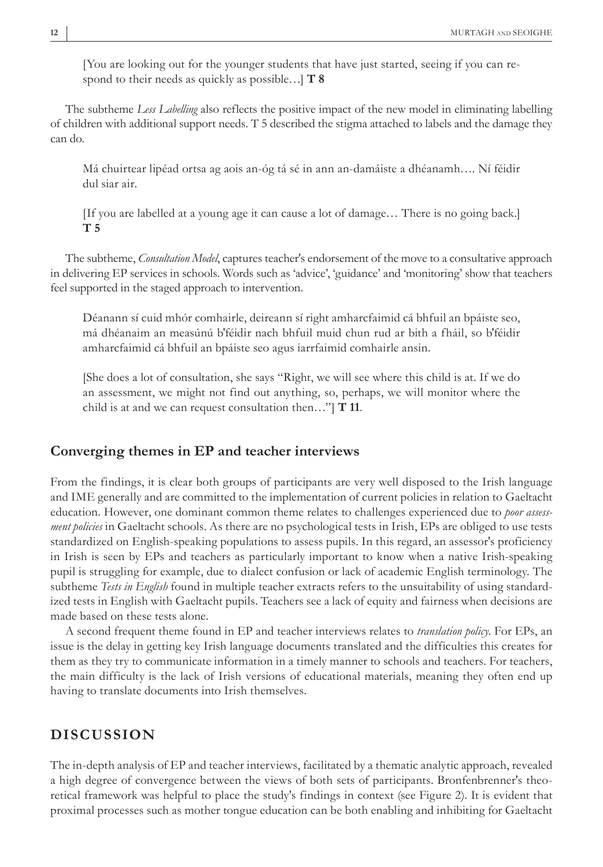[You are looking out for the younger students that have just started, seeing if you can respond to their needs as quickly as possible…] **T 8**

The subtheme *Less Labelling* also reflects the positive impact of the new model in eliminating labelling of children with additional support needs. T 5 described the stigma attached to labels and the damage they can do.

Má chuirtear lipéad ortsa ag aois an-óg tá sé in ann an-damáiste a dhéanamh…. Ní féidir dul siar air.

[If you are labelled at a young age it can cause a lot of damage… There is no going back.] **T 5**

The subtheme, *Consultation Model*, captures teacher's endorsement of the move to a consultative approach in delivering EP services in schools. Words such as 'advice', 'guidance' and 'monitoring' show that teachers feel supported in the staged approach to intervention.

Déanann sí cuid mhór comhairle, deireann sí right amharcfaimid cá bhfuil an bpáiste seo, má dhéanaim an measúnú b'féidir nach bhfuil muid chun rud ar bith a fháil, so b'féidir amharcfaimid cá bhfuil an bpáiste seo agus iarrfaimid comhairle ansin.

[She does a lot of consultation, she says "Right, we will see where this child is at. If we do an assessment, we might not find out anything, so, perhaps, we will monitor where the child is at and we can request consultation then…"] **T 11**.

## **Converging themes in EP and teacher interviews**

From the findings, it is clear both groups of participants are very well disposed to the Irish language and IME generally and are committed to the implementation of current policies in relation to Gaeltacht education. However, one dominant common theme relates to challenges experienced due to *poor assessment policies* in Gaeltacht schools. As there are no psychological tests in Irish, EPs are obliged to use tests standardized on English-speaking populations to assess pupils. In this regard, an assessor's proficiency in Irish is seen by EPs and teachers as particularly important to know when a native Irish-speaking pupil is struggling for example, due to dialect confusion or lack of academic English terminology. The subtheme *Tests in English* found in multiple teacher extracts refers to the unsuitability of using standardized tests in English with Gaeltacht pupils. Teachers see a lack of equity and fairness when decisions are made based on these tests alone.

A second frequent theme found in EP and teacher interviews relates to *translation policy*. For EPs, an issue is the delay in getting key Irish language documents translated and the difficulties this creates for them as they try to communicate information in a timely manner to schools and teachers. For teachers, the main difficulty is the lack of Irish versions of educational materials, meaning they often end up having to translate documents into Irish themselves.

## **DISCUSSION**

The in-depth analysis of EP and teacher interviews, facilitated by a thematic analytic approach, revealed a high degree of convergence between the views of both sets of participants. Bronfenbrenner's theoretical framework was helpful to place the study's findings in context (see Figure 2). It is evident that proximal processes such as mother tongue education can be both enabling and inhibiting for Gaeltacht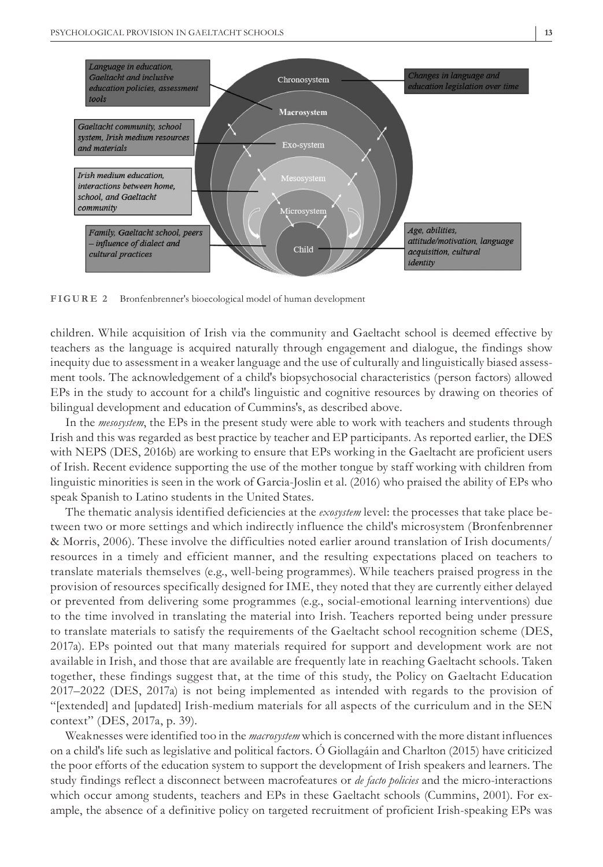

**FIGURE 2** Bronfenbrenner's bioecological model of human development

children. While acquisition of Irish via the community and Gaeltacht school is deemed effective by teachers as the language is acquired naturally through engagement and dialogue, the findings show inequity due to assessment in a weaker language and the use of culturally and linguistically biased assessment tools. The acknowledgement of a child's biopsychosocial characteristics (person factors) allowed EPs in the study to account for a child's linguistic and cognitive resources by drawing on theories of bilingual development and education of Cummins's, as described above.

In the *mesosystem*, the EPs in the present study were able to work with teachers and students through Irish and this was regarded as best practice by teacher and EP participants. As reported earlier, the DES with NEPS (DES, 2016b) are working to ensure that EPs working in the Gaeltacht are proficient users of Irish. Recent evidence supporting the use of the mother tongue by staff working with children from linguistic minorities is seen in the work of Garcia-Joslin et al. (2016) who praised the ability of EPs who speak Spanish to Latino students in the United States.

The thematic analysis identified deficiencies at the *exosystem* level: the processes that take place between two or more settings and which indirectly influence the child's microsystem (Bronfenbrenner & Morris, 2006). These involve the difficulties noted earlier around translation of Irish documents/ resources in a timely and efficient manner, and the resulting expectations placed on teachers to translate materials themselves (e.g., well-being programmes). While teachers praised progress in the provision of resources specifically designed for IME, they noted that they are currently either delayed or prevented from delivering some programmes (e.g., social-emotional learning interventions) due to the time involved in translating the material into Irish. Teachers reported being under pressure to translate materials to satisfy the requirements of the Gaeltacht school recognition scheme (DES, 2017a). EPs pointed out that many materials required for support and development work are not available in Irish, and those that are available are frequently late in reaching Gaeltacht schools. Taken together, these findings suggest that, at the time of this study, the Policy on Gaeltacht Education 2017–2022 (DES, 2017a) is not being implemented as intended with regards to the provision of "[extended] and [updated] Irish-medium materials for all aspects of the curriculum and in the SEN context" (DES, 2017a, p. 39).

Weaknesses were identified too in the *macrosystem* which is concerned with the more distant influences on a child's life such as legislative and political factors. Ó Giollagáin and Charlton (2015) have criticized the poor efforts of the education system to support the development of Irish speakers and learners. The study findings reflect a disconnect between macrofeatures or *de facto policies* and the micro-interactions which occur among students, teachers and EPs in these Gaeltacht schools (Cummins, 2001). For example, the absence of a definitive policy on targeted recruitment of proficient Irish-speaking EPs was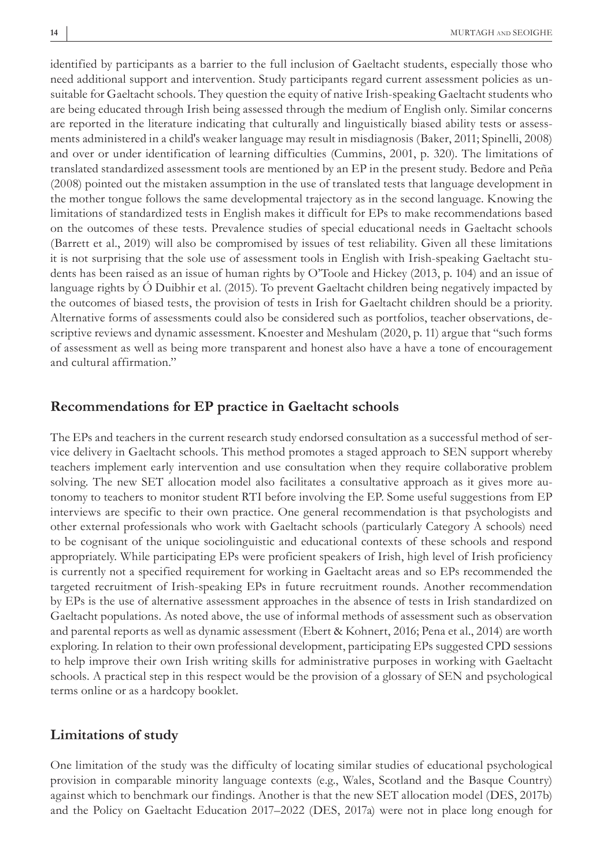identified by participants as a barrier to the full inclusion of Gaeltacht students, especially those who need additional support and intervention. Study participants regard current assessment policies as unsuitable for Gaeltacht schools. They question the equity of native Irish-speaking Gaeltacht students who are being educated through Irish being assessed through the medium of English only. Similar concerns are reported in the literature indicating that culturally and linguistically biased ability tests or assessments administered in a child's weaker language may result in misdiagnosis (Baker, 2011; Spinelli, 2008) and over or under identification of learning difficulties (Cummins, 2001, p. 320). The limitations of translated standardized assessment tools are mentioned by an EP in the present study. Bedore and Peña (2008) pointed out the mistaken assumption in the use of translated tests that language development in the mother tongue follows the same developmental trajectory as in the second language. Knowing the limitations of standardized tests in English makes it difficult for EPs to make recommendations based on the outcomes of these tests. Prevalence studies of special educational needs in Gaeltacht schools (Barrett et al., 2019) will also be compromised by issues of test reliability. Given all these limitations it is not surprising that the sole use of assessment tools in English with Irish-speaking Gaeltacht students has been raised as an issue of human rights by O'Toole and Hickey (2013, p. 104) and an issue of language rights by Ó Duibhir et al. (2015). To prevent Gaeltacht children being negatively impacted by the outcomes of biased tests, the provision of tests in Irish for Gaeltacht children should be a priority. Alternative forms of assessments could also be considered such as portfolios, teacher observations, descriptive reviews and dynamic assessment. Knoester and Meshulam (2020, p. 11) argue that "such forms of assessment as well as being more transparent and honest also have a have a tone of encouragement and cultural affirmation."

## **Recommendations for EP practice in Gaeltacht schools**

The EPs and teachers in the current research study endorsed consultation as a successful method of service delivery in Gaeltacht schools. This method promotes a staged approach to SEN support whereby teachers implement early intervention and use consultation when they require collaborative problem solving. The new SET allocation model also facilitates a consultative approach as it gives more autonomy to teachers to monitor student RTI before involving the EP. Some useful suggestions from EP interviews are specific to their own practice. One general recommendation is that psychologists and other external professionals who work with Gaeltacht schools (particularly Category A schools) need to be cognisant of the unique sociolinguistic and educational contexts of these schools and respond appropriately. While participating EPs were proficient speakers of Irish, high level of Irish proficiency is currently not a specified requirement for working in Gaeltacht areas and so EPs recommended the targeted recruitment of Irish-speaking EPs in future recruitment rounds. Another recommendation by EPs is the use of alternative assessment approaches in the absence of tests in Irish standardized on Gaeltacht populations. As noted above, the use of informal methods of assessment such as observation and parental reports as well as dynamic assessment (Ebert & Kohnert, 2016; Pena et al., 2014) are worth exploring. In relation to their own professional development, participating EPs suggested CPD sessions to help improve their own Irish writing skills for administrative purposes in working with Gaeltacht schools. A practical step in this respect would be the provision of a glossary of SEN and psychological terms online or as a hardcopy booklet.

## **Limitations of study**

One limitation of the study was the difficulty of locating similar studies of educational psychological provision in comparable minority language contexts (e.g., Wales, Scotland and the Basque Country) against which to benchmark our findings. Another is that the new SET allocation model (DES, 2017b) and the Policy on Gaeltacht Education 2017–2022 (DES, 2017a) were not in place long enough for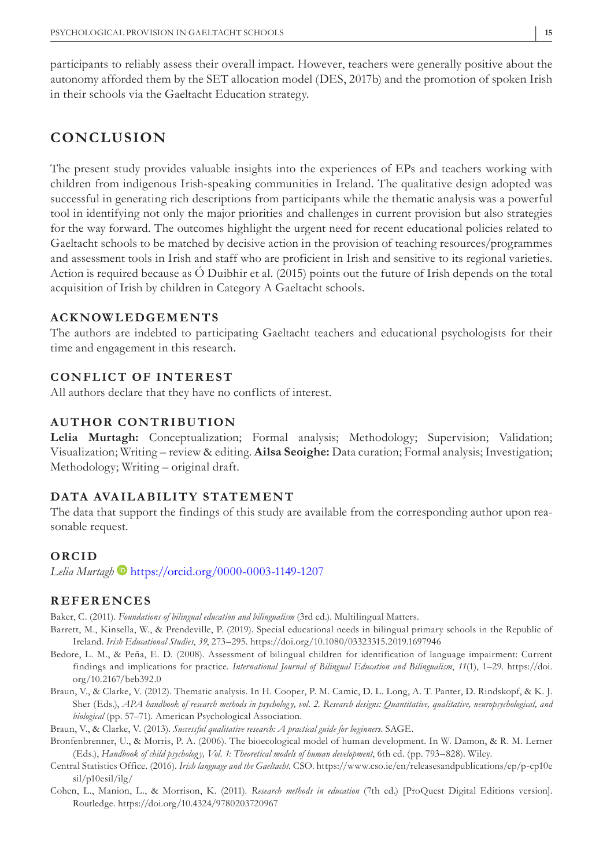participants to reliably assess their overall impact. However, teachers were generally positive about the autonomy afforded them by the SET allocation model (DES, 2017b) and the promotion of spoken Irish in their schools via the Gaeltacht Education strategy.

# **CONCLUSION**

The present study provides valuable insights into the experiences of EPs and teachers working with children from indigenous Irish-speaking communities in Ireland. The qualitative design adopted was successful in generating rich descriptions from participants while the thematic analysis was a powerful tool in identifying not only the major priorities and challenges in current provision but also strategies for the way forward. The outcomes highlight the urgent need for recent educational policies related to Gaeltacht schools to be matched by decisive action in the provision of teaching resources/programmes and assessment tools in Irish and staff who are proficient in Irish and sensitive to its regional varieties. Action is required because as Ó Duibhir et al. (2015) points out the future of Irish depends on the total acquisition of Irish by children in Category A Gaeltacht schools.

#### **ACKNOWLEDGEMENTS**

The authors are indebted to participating Gaeltacht teachers and educational psychologists for their time and engagement in this research.

## **CONFLICT OF INTEREST**

All authors declare that they have no conflicts of interest.

## **AUTHOR CONTRIBUTION**

**Lelia Murtagh:** Conceptualization; Formal analysis; Methodology; Supervision; Validation; Visualization; Writing – review & editing. **Ailsa Seoighe:** Data curation; Formal analysis; Investigation; Methodology; Writing – original draft.

#### **DATA AVAILABILITY STATEMENT**

The data that support the findings of this study are available from the corresponding author upon reasonable request.

#### **ORCID**

*Lelia Murtagh* <https://orcid.org/0000-0003-1149-1207>

#### **REFERENCES**

Baker, C. (2011). *Foundations of bilingual education and bilingualism* (3rd ed.). Multilingual Matters.

- Barrett, M., Kinsella, W., & Prendeville, P. (2019). Special educational needs in bilingual primary schools in the Republic of Ireland. *Irish Educational Studies*, *39*, 273–295.<https://doi.org/10.1080/03323315.2019.1697946>
- Bedore, L. M., & Peña, E. D. (2008). Assessment of bilingual children for identification of language impairment: Current findings and implications for practice. *International Journal of Bilingual Education and Bilingualism*, *11*(1), 1–29. [https://doi.](https://doi.org/10.2167/beb392.0) [org/10.2167/beb392.0](https://doi.org/10.2167/beb392.0)
- Braun, V., & Clarke, V. (2012). Thematic analysis. In H. Cooper, P. M. Camic, D. L. Long, A. T. Panter, D. Rindskopf, & K. J. Sher (Eds.), *APA handbook of research methods in psychology, vol. 2. Research designs: Quantitative, qualitative, neuropsychological, and biological* (pp. 57–71). American Psychological Association.

Braun, V., & Clarke, V. (2013). *Successful qualitative research: A practical guide for beginners*. SAGE.

- Bronfenbrenner, U., & Morris, P. A. (2006). The bioecological model of human development. In W. Damon, & R. M. Lerner (Eds.), *Handbook of child psycholog y, Vol. 1: Theoretical models of human development*, 6th ed. (pp. 793–828). Wiley.
- Central Statistics Office. (2016). *Irish language and the Gaeltacht*. CSO. [https://www.cso.ie/en/releasesandpublications/ep/p-cp10e](https://www.cso.ie/en/releasesandpublications/ep/p-cp10esil/p10esil/ilg/) [sil/p10esil/ilg/](https://www.cso.ie/en/releasesandpublications/ep/p-cp10esil/p10esil/ilg/)
- Cohen, L., Manion, L., & Morrison, K. (2011). *Research methods in education* (7th ed.) [ProQuest Digital Editions version]. Routledge. <https://doi.org/10.4324/9780203720967>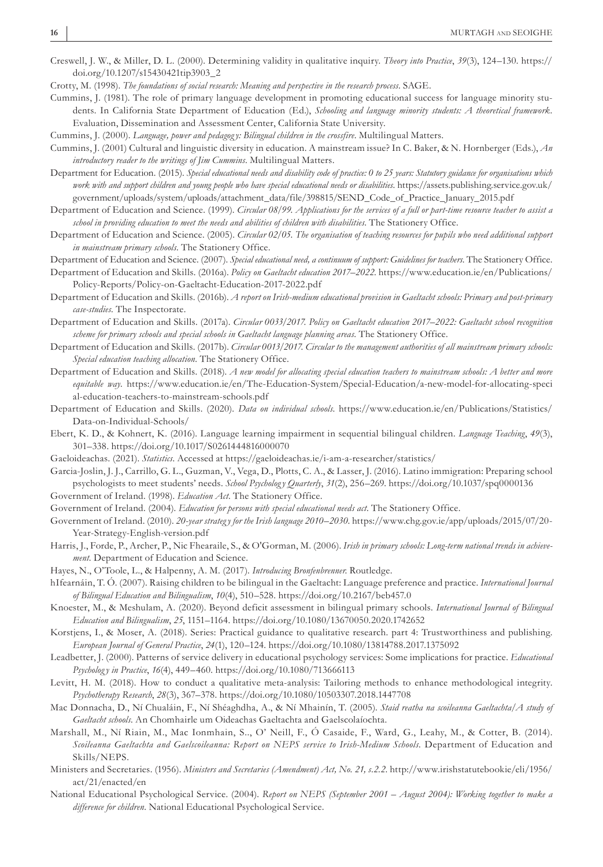Creswell, J. W., & Miller, D. L. (2000). Determining validity in qualitative inquiry. *Theory into Practice*, *39*(3), 124–130. [https://](https://doi.org/10.1207/s15430421tip3903_2) [doi.org/10.1207/s15430421tip3903\\_2](https://doi.org/10.1207/s15430421tip3903_2)

Crotty, M. (1998). *The foundations of social research: Meaning and perspective in the research process*. SAGE.

- Cummins, J. (1981). The role of primary language development in promoting educational success for language minority students. In California State Department of Education (Ed.), *Schooling and language minority students: A theoretical framework*. Evaluation, Dissemination and Assessment Center, California State University.
- Cummins, J. (2000). *Language, power and pedagog y: Bilingual children in the crossfire*. Multilingual Matters.
- Cummins, J. (2001) Cultural and linguistic diversity in education. A mainstream issue? In C. Baker, & N. Hornberger (Eds.), *An introductory reader to the writings of Jim Cummins*. Multilingual Matters.
- Department for Education. (2015). *Special educational needs and disability code of practice: 0 to 25 years: Statutory guidance for organisations which work with and support children and young people who have special educational needs or disabilities*. [https://assets.publishing.service.gov.uk/](https://assets.publishing.service.gov.uk/government/uploads/system/uploads/attachment_data/file/398815/SEND_Code_of_Practice_January_2015.pdf://assets.publishing.service.gov.uk/government/uploads/system/uploads/attachment_data/file/398815/SEND_Code_of_Practice_January_2015.pdf) [government/uploads/system/uploads/attachment\\_data/file/398815/SEND\\_Code\\_of\\_Practice\\_January\\_2015.pdf](https://assets.publishing.service.gov.uk/government/uploads/system/uploads/attachment_data/file/398815/SEND_Code_of_Practice_January_2015.pdf://assets.publishing.service.gov.uk/government/uploads/system/uploads/attachment_data/file/398815/SEND_Code_of_Practice_January_2015.pdf)
- Department of Education and Science. (1999). *Circular 08/99. Applications for the services of a full or part-time resource teacher to assist a school in providing education to meet the needs and abilities of children with disabilities*. The Stationery Office.
- Department of Education and Science. (2005). *Circular 02/05. The organisation of teaching resources for pupils who need additional support in mainstream primary schools*. The Stationery Office.
- Department of Education and Science. (2007). *Special educational need, a continuum of support: Guidelines for teachers*. The Stationery Office.
- Department of Education and Skills. (2016a). *Policy on Gaeltacht education 2017–2022*. [https://www.education.ie/en/Publications/](https://www.education.ie/en/Publications/Policy-Reports/Policy-on-Gaeltacht-Education-2017-2022.pdf) [Policy-Reports/Policy-on-Gaeltacht-Education-2017-2022.pdf](https://www.education.ie/en/Publications/Policy-Reports/Policy-on-Gaeltacht-Education-2017-2022.pdf)
- Department of Education and Skills. (2016b). *A report on Irish-medium educational provision in Gaeltacht schools: Primary and post-primary case-studies*. The Inspectorate.
- Department of Education and Skills. (2017a). *Circular 0033/2017. Policy on Gaeltacht education 2017–2022: Gaeltacht school recognition scheme for primary schools and special schools in Gaeltacht language planning areas*. The Stationery Office.
- Department of Education and Skills. (2017b). *Circular 0013/2017. Circular to the management authorities of all mainstream primary schools: Special education teaching allocation*. The Stationery Office.
- Department of Education and Skills. (2018). *A new model for allocating special education teachers to mainstream schools: A better and more equitable way*. [https://www.education.ie/en/The-Education-System/Special-Education/a-new-model-for-allocating-speci](https://www.education.ie/en/The-Education-System/Special-Education/a-new-model-for-allocating-special-education-teachers-to-mainstream-schools.pdf) [al-education-teachers-to-mainstream-schools.pdf](https://www.education.ie/en/The-Education-System/Special-Education/a-new-model-for-allocating-special-education-teachers-to-mainstream-schools.pdf)
- Department of Education and Skills. (2020). *Data on individual schools*. [https://www.education.ie/en/Publications/Statistics/](https://www.education.ie/en/Publications/Statistics/Data-on-Individual-Schools/) [Data-on-Individual-Schools/](https://www.education.ie/en/Publications/Statistics/Data-on-Individual-Schools/)
- Ebert, K. D., & Kohnert, K. (2016). Language learning impairment in sequential bilingual children. *Language Teaching*, *49*(3), 301–338. <https://doi.org/10.1017/S0261444816000070>
- Gaeloideachas. (2021). *Statistics*. Accessed at<https://gaeloideachas.ie/i-am-a-researcher/statistics/>
- Garcia-Joslin, J. J., Carrillo, G. L., Guzman, V., Vega, D., Plotts, C. A., & Lasser, J. (2016). Latino immigration: Preparing school psychologists to meet students' needs. *School Psycholog y Quarterly*, *31*(2), 256–269. <https://doi.org/10.1037/spq0000136>
- Government of Ireland. (1998). *Education Act*. The Stationery Office.
- Government of Ireland. (2004). *Education for persons with special educational needs act*. The Stationery Office.
- Government of Ireland. (2010). *20-year strateg y for the Irish language 2010–2030*. [https://www.chg.gov.ie/app/uploads/2015/07/20-](https://www.chg.gov.ie/app/uploads/2015/07/20-Year-Strategy-English-version.pdf) [Year-Strategy-English-version.pdf](https://www.chg.gov.ie/app/uploads/2015/07/20-Year-Strategy-English-version.pdf)
- Harris, J., Forde, P., Archer, P., Nic Fhearaile, S., & O'Gorman, M. (2006). *Irish in primary schools: Long-term national trends in achievement*. Department of Education and Science.
- Hayes, N., O'Toole, L., & Halpenny, A. M. (2017). *Introducing Bronfenbrenner*. Routledge.
- hIfearnáin, T. Ó. (2007). Raising children to be bilingual in the Gaeltacht: Language preference and practice. *International Journal of Bilingual Education and Bilingualism*, *10*(4), 510–528. <https://doi.org/10.2167/beb457.0>
- Knoester, M., & Meshulam, A. (2020). Beyond deficit assessment in bilingual primary schools. *International Journal of Bilingual Education and Bilingualism*, *25*, 1151–1164.<https://doi.org/10.1080/13670050.2020.1742652>
- Korstjens, I., & Moser, A. (2018). Series: Practical guidance to qualitative research. part 4: Trustworthiness and publishing. *European Journal of General Practice*, *24*(1), 120–124. <https://doi.org/10.1080/13814788.2017.1375092>
- Leadbetter, J. (2000). Patterns of service delivery in educational psychology services: Some implications for practice. *Educational Psycholog y in Practice*, *16*(4), 449–460.<https://doi.org/10.1080/713666113>
- Levitt, H. M. (2018). How to conduct a qualitative meta-analysis: Tailoring methods to enhance methodological integrity. *Psychotherapy Research*, *28*(3), 367–378.<https://doi.org/10.1080/10503307.2018.1447708>
- Mac Donnacha, D., Ní Chualáin, F., Ní Shéaghdha, A., & Ní Mhainín, T. (2005). *Staid reatha na scoileanna Gaeltachta/A study of Gaeltacht schools*. An Chomhairle um Oideachas Gaeltachta and Gaelscolaíochta.
- Marshall, M., Ní Riain, M., Mac Ionmhain, S.., O' Neill, F., Ó Casaide, F., Ward, G., Leahy, M., & Cotter, B. (2014). *Scoileanna Gaeltachta and Gaelscoileanna: Report on NEPS service to Irish-Medium Schools*. Department of Education and Skills/NEPS.
- Ministers and Secretaries. (1956). *Ministers and Secretaries (Amendment) Act, No. 21, s.2.2*. [http://www.irishstatutebookie/eli/1956/](http://www.irishstatutebookie/eli/1956/act/21/enacted/en) [act/21/enacted/en](http://www.irishstatutebookie/eli/1956/act/21/enacted/en)
- National Educational Psychological Service. (2004). *Report on NEPS (September 2001 August 2004): Working together to make a difference for children*. National Educational Psychological Service.